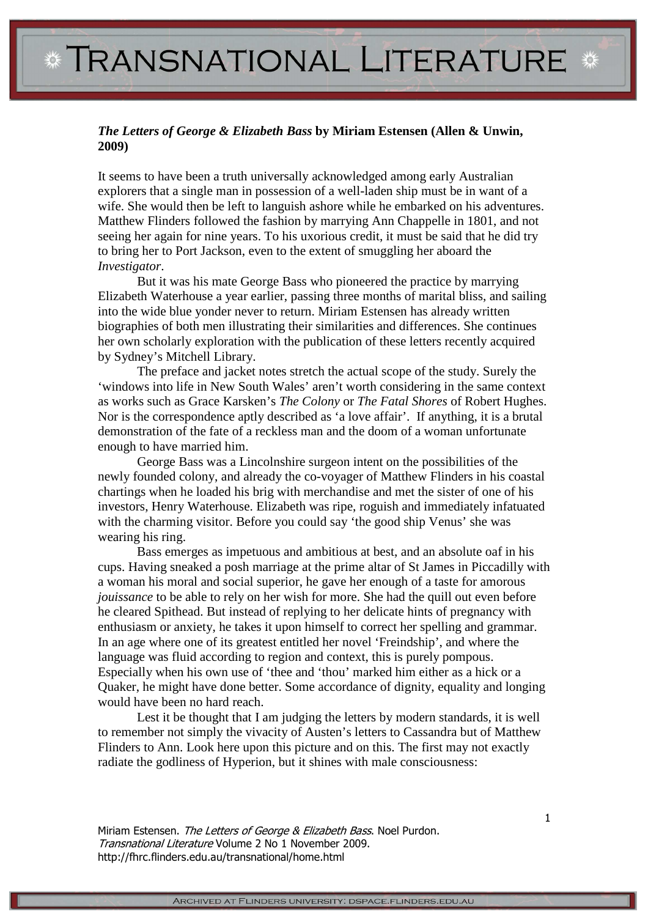## *The Letters of George & Elizabeth Bass* **by Miriam Estensen (Allen & Unwin, 2009)**

It seems to have been a truth universally acknowledged among early Australian explorers that a single man in possession of a well-laden ship must be in want of a wife. She would then be left to languish ashore while he embarked on his adventures. Matthew Flinders followed the fashion by marrying Ann Chappelle in 1801, and not seeing her again for nine years. To his uxorious credit, it must be said that he did try to bring her to Port Jackson, even to the extent of smuggling her aboard the *Investigator*.

But it was his mate George Bass who pioneered the practice by marrying Elizabeth Waterhouse a year earlier, passing three months of marital bliss, and sailing into the wide blue yonder never to return. Miriam Estensen has already written biographies of both men illustrating their similarities and differences. She continues her own scholarly exploration with the publication of these letters recently acquired by Sydney's Mitchell Library.

The preface and jacket notes stretch the actual scope of the study. Surely the 'windows into life in New South Wales' aren't worth considering in the same context as works such as Grace Karsken's *The Colony* or *The Fatal Shores* of Robert Hughes. Nor is the correspondence aptly described as 'a love affair'. If anything, it is a brutal demonstration of the fate of a reckless man and the doom of a woman unfortunate enough to have married him.

George Bass was a Lincolnshire surgeon intent on the possibilities of the newly founded colony, and already the co-voyager of Matthew Flinders in his coastal chartings when he loaded his brig with merchandise and met the sister of one of his investors, Henry Waterhouse. Elizabeth was ripe, roguish and immediately infatuated with the charming visitor. Before you could say 'the good ship Venus' she was wearing his ring.

Bass emerges as impetuous and ambitious at best, and an absolute oaf in his cups. Having sneaked a posh marriage at the prime altar of St James in Piccadilly with a woman his moral and social superior, he gave her enough of a taste for amorous *jouissance* to be able to rely on her wish for more. She had the quill out even before he cleared Spithead. But instead of replying to her delicate hints of pregnancy with enthusiasm or anxiety, he takes it upon himself to correct her spelling and grammar. In an age where one of its greatest entitled her novel 'Freindship', and where the language was fluid according to region and context, this is purely pompous. Especially when his own use of 'thee and 'thou' marked him either as a hick or a Quaker, he might have done better. Some accordance of dignity, equality and longing would have been no hard reach.

Lest it be thought that I am judging the letters by modern standards, it is well to remember not simply the vivacity of Austen's letters to Cassandra but of Matthew Flinders to Ann. Look here upon this picture and on this. The first may not exactly radiate the godliness of Hyperion, but it shines with male consciousness:

Miriam Estensen. The Letters of George & Elizabeth Bass. Noel Purdon. Transnational Literature Volume 2 No 1 November 2009. http://fhrc.flinders.edu.au/transnational/home.html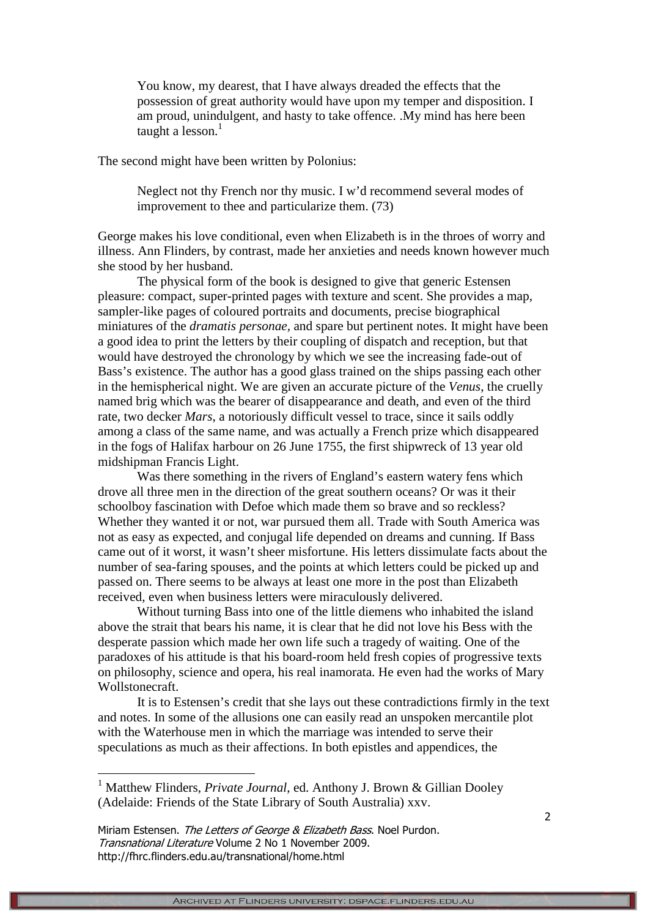You know, my dearest, that I have always dreaded the effects that the possession of great authority would have upon my temper and disposition. I am proud, unindulgent, and hasty to take offence. .My mind has here been taught a lesson. $<sup>1</sup>$ </sup>

The second might have been written by Polonius:

Neglect not thy French nor thy music. I w'd recommend several modes of improvement to thee and particularize them. (73)

George makes his love conditional, even when Elizabeth is in the throes of worry and illness. Ann Flinders, by contrast, made her anxieties and needs known however much she stood by her husband.

The physical form of the book is designed to give that generic Estensen pleasure: compact, super-printed pages with texture and scent. She provides a map, sampler-like pages of coloured portraits and documents, precise biographical miniatures of the *dramatis personae,* and spare but pertinent notes. It might have been a good idea to print the letters by their coupling of dispatch and reception, but that would have destroyed the chronology by which we see the increasing fade-out of Bass's existence. The author has a good glass trained on the ships passing each other in the hemispherical night. We are given an accurate picture of the *Venus*, the cruelly named brig which was the bearer of disappearance and death, and even of the third rate, two decker *Mars*, a notoriously difficult vessel to trace, since it sails oddly among a class of the same name, and was actually a French prize which disappeared in the fogs of Halifax harbour on 26 June 1755, the first shipwreck of 13 year old midshipman Francis Light.

Was there something in the rivers of England's eastern watery fens which drove all three men in the direction of the great southern oceans? Or was it their schoolboy fascination with Defoe which made them so brave and so reckless? Whether they wanted it or not, war pursued them all. Trade with South America was not as easy as expected, and conjugal life depended on dreams and cunning. If Bass came out of it worst, it wasn't sheer misfortune. His letters dissimulate facts about the number of sea-faring spouses, and the points at which letters could be picked up and passed on. There seems to be always at least one more in the post than Elizabeth received, even when business letters were miraculously delivered.

Without turning Bass into one of the little diemens who inhabited the island above the strait that bears his name, it is clear that he did not love his Bess with the desperate passion which made her own life such a tragedy of waiting. One of the paradoxes of his attitude is that his board-room held fresh copies of progressive texts on philosophy, science and opera, his real inamorata. He even had the works of Mary Wollstonecraft.

It is to Estensen's credit that she lays out these contradictions firmly in the text and notes. In some of the allusions one can easily read an unspoken mercantile plot with the Waterhouse men in which the marriage was intended to serve their speculations as much as their affections. In both epistles and appendices, the

 $\overline{a}$ 

<sup>&</sup>lt;sup>1</sup> Matthew Flinders, *Private Journal*, ed. Anthony J. Brown & Gillian Dooley (Adelaide: Friends of the State Library of South Australia) xxv.

Miriam Estensen. The Letters of George & Elizabeth Bass. Noel Purdon. Transnational Literature Volume 2 No 1 November 2009. http://fhrc.flinders.edu.au/transnational/home.html